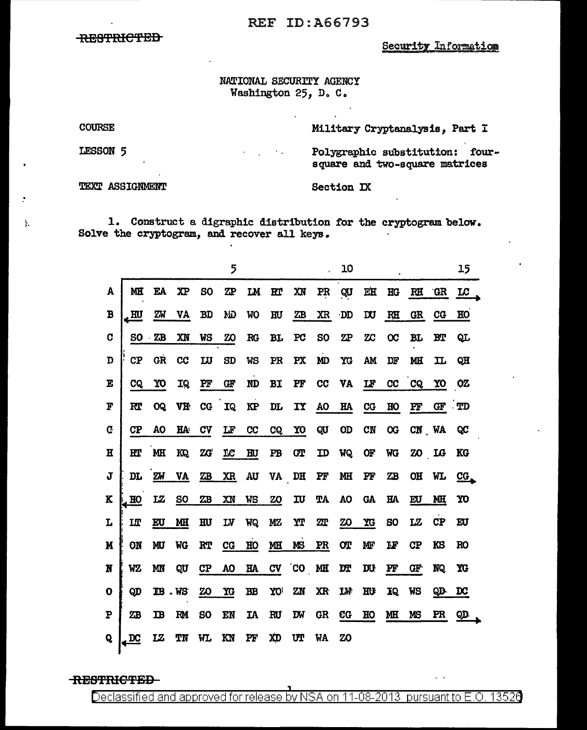Security Information

#### NATIONAL SECURITY AGENCY Washington 25, D. C.

**COURSE** 

 $\mathbf{k}$ 

Military Cryptanalysis, Part I

LESSON 5

Polygraphic substitution: foursquare and two-square matrices

TEXT ASSIGNMENT

Section IX

1. Construct a digraphic distribution for the cryptogram below. Solve the cryptogram, and recover all keys.

|             |                        |                |           |                | 5         |             |                |             |           | 10        |                        |             |            |     | 15        |
|-------------|------------------------|----------------|-----------|----------------|-----------|-------------|----------------|-------------|-----------|-----------|------------------------|-------------|------------|-----|-----------|
| A           | MH                     | EA             | XP        | <b>SO</b>      | ZP        | <b>IM</b>   | $\mathbf{H}$   | XN          | PR        | QU        | EĦ                     | $_{\rm HG}$ | RH         | GR  | LC        |
| B           | <u>, HU</u>            | ZW             | VA        | <b>BD</b>      | MD        | WO          | ΗU             | ZB          | XR        | ٠DD       | w                      | RH          | <b>GR</b>  | CG  | HO        |
| C           | SO                     | ZB             | XN        | <b>WS</b>      | ZO        | RG          | B <sub>L</sub> | PC          | <b>SO</b> | ZP        | ZC                     | œ           | <b>BL</b>  | ВT  | QT.       |
| D           | CP                     | GR             | cc        | IJ             | SD        | WS          | PR             | PX          | MD        | YG        | AM                     | DF          | MH         | ᄑ   | QH        |
| E           | <b>CQ</b>              | YO             | IQ.       | PГ             | GF        | ND          | BI             | $_{\rm PF}$ | cc        | <b>VA</b> | <b>IF</b>              | cc          | CQ         | YO  | <b>OZ</b> |
| F           | ${\bf RT}$             | OQ.            | VH        | C <sub>G</sub> | <b>IQ</b> | KP          | DL             | IY          | <b>AO</b> | HA        | $_{\rm CG}$            | HO          | ${\bf PT}$ | Œ   | TD        |
| G           | $\mathbf{C}\mathbf{P}$ | <b>AO</b>      | HA        | <b>CV</b>      | LF        | $_{\rm CC}$ | <b>CQ</b>      | YO          | QU        | OD        | $\mathbf{C}\mathbf{N}$ | <b>OG</b>   | CN WA      |     | QC        |
| н           | HT                     | MH             | KQ        | ZG             | ĽC        | HU          | PB             | CT          | m         | WQ        | Œ                      | <b>WG</b>   | ZO LG      |     | KG        |
| J           | DL.                    | ZW             | VA        | ZB             | <u>XR</u> | AU          | VA             | DT          | PF        | MH        | FF                     | ZB          | OH         | WL. | CG        |
| K           | $\sqrt{10}$            | LZ             | <b>SO</b> | ZB             | XN        | WS          | <b>ZO</b>      | ΙU          | <b>TA</b> | AO        | GA                     | <b>HA</b>   | EU         | MH  | YO        |
| L           | <b>IR</b>              | EU             | МH        | HU             | <b>IV</b> | WQ.         | MZ             | YT          | ZT        | ZO        | YG                     | <b>SO</b>   | LZ         | CP  | EU        |
| M           | ON                     | MJ             | WG        | RT             | <b>CG</b> | HO          | MH             | MS          | PR        | <b>OT</b> | MF                     | LF          | CP         | KS  | <b>RO</b> |
| N           | WZ.                    | MN             | QU        | CP             | AO        | <b>HA</b>   | CV             | `CO         | МI        | DT        | DU                     | FF          | GF.        | NQ. | YG        |
| O           | QD                     | <b>IB</b> . WS |           | ZO             | YG        | BB          | YO             | ZN          | XR        | IW        | ΗU                     | IQ.         | WS         | QD. | DC        |
| $\mathbf P$ | ZB                     | <b>IB</b>      | <b>RM</b> | 80             | EN        | <b>IA</b>   | RU             | DW          | GR        | CG        | HO                     | MH          | <b>MS</b>  | PR  | QD.       |
| Q           | <u>nc</u>              | IJ             | ТN        | WL.            | KN        | PF          | ΧD             | UT          | WA        | ZO        |                        |             |            |     |           |

#### RESTRICTED-

Declassified and approved for release by NSA on 11-08-2013 pursuant to E.O. 13520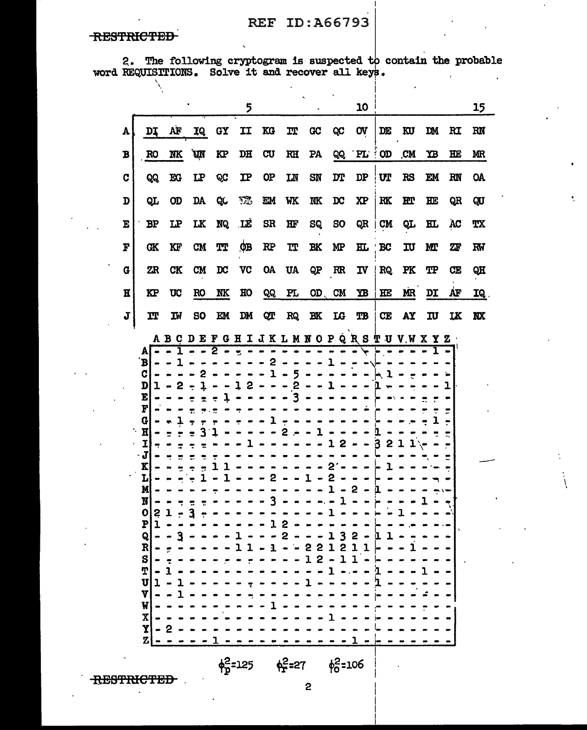$\ddot{\phantom{a}}$ 

## **RESTRICTED**

N.

2. The following cryptogram is suspected to contain the probable word REQUISITIONS. Solve it and recover all keys.  $\bar{1}$  $\ddot{\phantom{a}}$ 

|   |                                                                                                                                                                 |                |           |                | 5                                                                                         |                       |                                          |                        |                                                      | 10                                                                                      |                    |           |           |                                                  | 15        |
|---|-----------------------------------------------------------------------------------------------------------------------------------------------------------------|----------------|-----------|----------------|-------------------------------------------------------------------------------------------|-----------------------|------------------------------------------|------------------------|------------------------------------------------------|-----------------------------------------------------------------------------------------|--------------------|-----------|-----------|--------------------------------------------------|-----------|
| A | DI                                                                                                                                                              | AF             | IQ.       | GY             | II                                                                                        | KG                    | IT                                       | GC                     | QC                                                   | OV                                                                                      | DE                 | KU        | <b>DM</b> | RI                                               | RN        |
| B | <b>RO</b>                                                                                                                                                       | N <sub>K</sub> | UN        | KP             | DH                                                                                        | CU                    | RH                                       | PA                     | QQ                                                   | PL                                                                                      | OD                 | CM,       | <b>XB</b> | HE                                               | MR        |
| C | QQ                                                                                                                                                              | EG             | <b>IP</b> | QC             | $\mathbf{I}$                                                                              | <b>OP</b>             | <b>I'M</b>                               | SN                     | DT                                                   | DP                                                                                      | UT                 | <b>RS</b> | EM        | RN                                               | <b>OA</b> |
| D | QL                                                                                                                                                              | OD             | DA        | QC.            | 遼                                                                                         | <b>EM</b>             | WK                                       | $\overline{\text{MK}}$ | $\mathbf{p}$                                         | XP                                                                                      | RK                 | HT        | ΗE        | QR                                               | QU        |
| Ε | BP                                                                                                                                                              | LP             | LK        | NQ.            | IE                                                                                        | SR                    | HF                                       | SQ                     | <b>SO</b>                                            | QR                                                                                      | <b>CM</b>          | QL        | 肛         | <b>AC</b>                                        | TX        |
| F | <b>GK</b>                                                                                                                                                       | KF             | <b>CM</b> | TT             | ФB                                                                                        | RP                    | TT                                       | BK                     | MP                                                   | 肛                                                                                       | BC<br>٢            | ᇳ         | МT        | ZF                                               | RW        |
| G | ZR                                                                                                                                                              | CK             | <b>CM</b> | DC             | VC                                                                                        | <b>OA</b>             | <b>UA</b>                                | QP                     | RR                                                   | ${\bf I}$                                                                               | RQ                 | PK        | TP        | CE                                               | QH        |
| H | KP                                                                                                                                                              | UC             | <b>RO</b> | NК             | HO                                                                                        | QQ                    | PL                                       | OD.                    | <b>CM</b>                                            | YB                                                                                      | $_{\rm HE}$        | MR        | DT        | ÁF                                               | IQ.       |
| J | TT                                                                                                                                                              | IW             | <b>SO</b> | EM             | DM                                                                                        | QT                    | RQ                                       | BK                     | LG                                                   | TB                                                                                      | <b>CE</b>          | AY        | IJ        | IK                                               | <b>NX</b> |
|   | A<br>B<br>C<br>D<br>ı<br>E<br>F<br>G<br>н<br>I<br>$\cdot$ J<br>K<br>L<br>M<br>N<br>$\mathbf 0$<br>2<br>P<br>٦<br>Q<br>R<br>S<br>Τ<br>U<br>V<br>W<br>X<br>Y<br>z | 2<br>π         | 2<br>5    | $\mathbf{2}^-$ | $\begin{array}{ccc} \bullet & \bullet & \bullet \end{array}$<br>2<br>ı<br><b>စုံဦ=125</b> | 2<br>2<br>3<br>1<br>ч | 5<br>2<br>2<br>2<br>$\phi_{\bf r}^2$ =27 | $- 22$<br>$12 -$<br>2  | ٦<br>2<br>2<br>-1<br>$\mathbf{J}$<br>$\phi_0^2$ =106 | A B C D E F G H I J K L M N O P Q R S T U V W X Y Z 3<br>₩<br>$2 - - 132 - 1$<br>1<br>1 | 6<br>2<br>П<br>- 1 | ı         | τ         | ኈ<br>ı<br>$\bullet$<br>≅<br>$\bullet$<br>Ξ<br>۱w |           |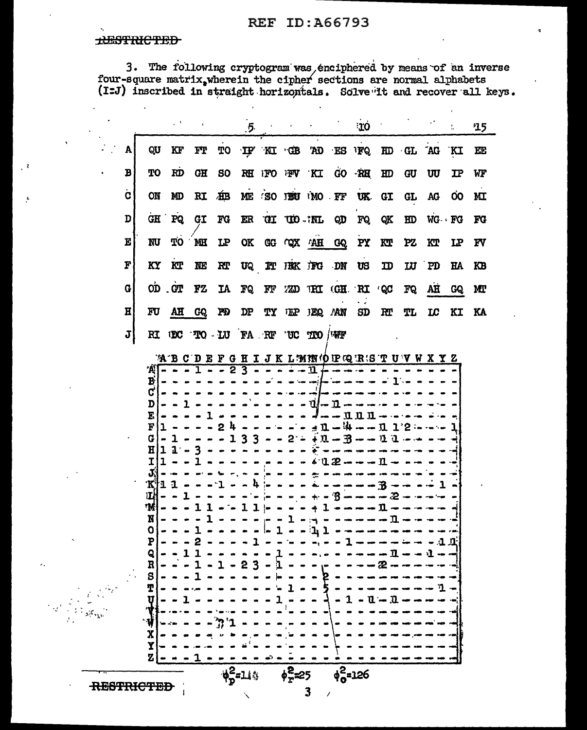#### **AESTRICTED**

 $\frac{2}{3}$ 

 $\lambda$  .

3. The following cryptogram was énciphered by means of an inverse four-square matrix, wherein the cipher sections are normal alphabets (IIJ) inscribed in straight horizontals. Solve it and recover all keys.

|              |                                                                                                                          | . .                    |                           |                                      | 5.                                                                   |              |                                                                                                                                                                                                    |                               |                                                                                                                                                                                              | iTÓ.                        |                      |              |           | ÷.                | 25 |
|--------------|--------------------------------------------------------------------------------------------------------------------------|------------------------|---------------------------|--------------------------------------|----------------------------------------------------------------------|--------------|----------------------------------------------------------------------------------------------------------------------------------------------------------------------------------------------------|-------------------------------|----------------------------------------------------------------------------------------------------------------------------------------------------------------------------------------------|-----------------------------|----------------------|--------------|-----------|-------------------|----|
| A            | QU                                                                                                                       | KF                     | FT                        | TО                                   |                                                                      |              | TP KI GB                                                                                                                                                                                           |                               | AD ES FQ                                                                                                                                                                                     |                             | HD                   | <b>GL AG</b> |           | KI                | EE |
| в            | TO                                                                                                                       | <b>RD</b>              | G H                       | 80                                   |                                                                      |              | RH IFO PW KI                                                                                                                                                                                       |                               | GO RH                                                                                                                                                                                        |                             | $\mathbf{H}$         | GU           | w         | ${\bf I} {\bf P}$ | WF |
| C            | ON                                                                                                                       | MD                     | RI                        | ÆB                                   | ME                                                                   |              | SO JEU MO FF                                                                                                                                                                                       |                               |                                                                                                                                                                                              | UK.                         | GI                   | <b>GL</b>    | AG        | OO                | MI |
| D            | GH                                                                                                                       | <b>PQ</b>              | GI                        | FG                                   |                                                                      |              | ER CII UO. INL                                                                                                                                                                                     |                               | QD                                                                                                                                                                                           | FQ                          | QK                   | $\mathbf{H}$ | $WG - FG$ |                   | FG |
| E            | NU                                                                                                                       | ТO                     | MH                        | LP                                   | <b>OK</b>                                                            |              | GG (QX AH                                                                                                                                                                                          |                               | GQ                                                                                                                                                                                           | PY                          | KT                   | PZ           | KT        | LP                | FV |
| F            | KY                                                                                                                       | KT                     | NE                        | RT                                   | UQ.                                                                  | Ħ            |                                                                                                                                                                                                    | TRK TFG DN                    |                                                                                                                                                                                              | US                          | ID                   | <b>IU</b>    | PD        | HA                | KB |
| G            | <b>CD . CT</b>                                                                                                           |                        | FZ                        | <b>IA</b>                            | FQ                                                                   | FF           |                                                                                                                                                                                                    |                               | ZD TRI (GH. RI                                                                                                                                                                               |                             | <b>' QC</b>          | FQ           | AH        | GQ                | MT |
| H            | FU                                                                                                                       | AĦ                     | GQ                        | PĐ                                   | DP                                                                   | ТY           |                                                                                                                                                                                                    | TEP HER ANY                   |                                                                                                                                                                                              | SD                          | RT                   | TL           | LC        | KI                | KA |
| $\mathbf{J}$ | RI                                                                                                                       |                        |                           | <b>IDC TO LU FA RF UC TIO WFF</b>    |                                                                      |              |                                                                                                                                                                                                    |                               |                                                                                                                                                                                              |                             |                      |              |           |                   |    |
|              | 'N<br>B<br>ຕ<br>D<br>E<br>F<br>G<br>Έ<br>I<br>J.<br>'Kʻ<br>Щ,<br>'N<br>N<br>0<br>P<br><b>QRSTU</b><br>∵ij<br>X<br>Y<br>Z | ı<br>11 -<br>я п<br>1. | $\bullet$<br>-3<br>1<br>2 | $-1 - -23$<br>4<br>2<br>ı<br>$- - 1$ | $\bullet$<br>3<br>3<br>4<br>$\mathbf{I}$<br>ı<br>ั <b>ตุ่ระ</b> บเ\$ | ł.<br>$\sim$ | $- - - - 1$<br>ma can ben wedd<br>$\sim$<br>$\frac{1}{2}$<br>$\bullet$<br>$\mathbf{m}$<br>$\blacksquare$<br>$\bullet$<br>$-1-$<br>$\mathbf{L}$<br>$\bullet$<br>$\phi_{\mathbb{F}}^{\mathbf{2}}$ 25 | ÷.<br>۰<br>$\rightarrow$<br>÷ | $\mathbf{u}-\mathbf{n}-$<br>$4 -  111 -$<br>- - 2 - +11 - 3 - - 11 1 - -<br>$122 - -1 -$<br>* = 3 = = = = = 2 = = =<br>$1 - 2 - 1$<br>$-11 - -$<br>in many mang-manana an<br>$\phi_0^2$ =126 | <b>100 nm nm 100 15 -00</b> | $1 \cdot$<br>$\cdot$ |              | - 1 1     |                   |    |

**RESTRICTED** 

 $\mathcal{M}_{\rm{max}}$ 

 $\mathbf{3}$ 

 $\ddot{\phantom{0}}$ 

 $\rightarrow$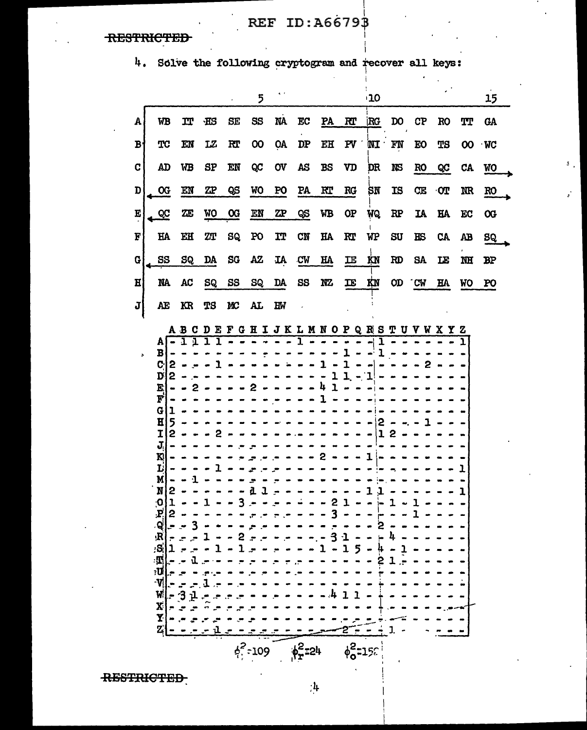$\overline{a}$ 

 $\mathfrak s_{\mathbb{Z}_+}$ 

 $\mathbf{r}$ 

### **RESTRICTED**

4. Solve the following cryptogram and recover all keys:

|                     |                                                                                                                                                                                                                                                                                                       |                                    |             |                                                   | 5                                                     | $\leftarrow$                                                                        |                                                                      |                                                                                                                                       |                                                                                                                                                                                                   | 10                                                                                                 |                               |                             |                |                        | 15         |
|---------------------|-------------------------------------------------------------------------------------------------------------------------------------------------------------------------------------------------------------------------------------------------------------------------------------------------------|------------------------------------|-------------|---------------------------------------------------|-------------------------------------------------------|-------------------------------------------------------------------------------------|----------------------------------------------------------------------|---------------------------------------------------------------------------------------------------------------------------------------|---------------------------------------------------------------------------------------------------------------------------------------------------------------------------------------------------|----------------------------------------------------------------------------------------------------|-------------------------------|-----------------------------|----------------|------------------------|------------|
| A                   | WB                                                                                                                                                                                                                                                                                                    | $\mathbf{T}$                       | ·ES         | SE                                                | SS                                                    | <b>NA</b>                                                                           | EC                                                                   | PA                                                                                                                                    | RT                                                                                                                                                                                                | RG                                                                                                 | <b>DO</b>                     | CP                          | RO             | TT                     | GA         |
| B <sub>1</sub>      | TC                                                                                                                                                                                                                                                                                                    | EN                                 | IZ          | RT                                                | 00                                                    | <b>OA</b>                                                                           | DP                                                                   | $E$ H                                                                                                                                 | PV                                                                                                                                                                                                | $\mathbf{M}$ .                                                                                     | FN                            | EO                          | TS             | $\infty$               | $\cdot$ MC |
| C                   | AD                                                                                                                                                                                                                                                                                                    | WB                                 | SP          | EN                                                | QC                                                    | <b>OV</b>                                                                           | AS                                                                   | BS                                                                                                                                    | VD                                                                                                                                                                                                | DR                                                                                                 | <b>NS</b>                     | <b>RO</b>                   | QC             | CA.                    | WO         |
| D                   | <b>OG</b>                                                                                                                                                                                                                                                                                             | EN                                 | ZP          | QS                                                | <b>WO</b>                                             | P <sub>0</sub>                                                                      | PA                                                                   | RT                                                                                                                                    | RG                                                                                                                                                                                                | SN                                                                                                 | <b>IS</b>                     | Œ                           | $\overline{C}$ | NR                     | RO         |
| E                   | <u>୍ଦୁ୯</u>                                                                                                                                                                                                                                                                                           | ZE                                 | WO          | $\overline{00}$                                   | EN                                                    | ZP                                                                                  | <u>ର୍କ୍ତ</u>                                                         | WB                                                                                                                                    | <b>OP</b>                                                                                                                                                                                         | WQ.                                                                                                | RP                            | IA                          | HA             | EC                     | <b>OG</b>  |
| F                   | HA                                                                                                                                                                                                                                                                                                    | EН                                 | ZT          | SQ                                                | PO                                                    | <b>TT</b>                                                                           | $\mathbf{C}\mathbf{N}$                                               | HA                                                                                                                                    | $\mathbf{R}$                                                                                                                                                                                      | WP                                                                                                 | SU                            | ES                          | <b>CA</b>      | AB                     | SQ         |
| G                   | SS                                                                                                                                                                                                                                                                                                    | SQ                                 | DA          | <b>SG</b>                                         | AZ                                                    | ЛA                                                                                  | <b>CM</b>                                                            | HA                                                                                                                                    | IE                                                                                                                                                                                                | ĶN                                                                                                 | RD                            | <b>SA</b>                   | IE             | NH                     | BP         |
| н                   | NA.                                                                                                                                                                                                                                                                                                   | AC                                 | SQ          | SS                                                | SQ                                                    | DA                                                                                  | SS                                                                   | NZ.                                                                                                                                   | IE                                                                                                                                                                                                | ĶN                                                                                                 | OD                            | . CM                        | <b>HA</b>      | WO                     | PO         |
| J                   | AE                                                                                                                                                                                                                                                                                                    | KR                                 | TS          | MC                                                | AL                                                    | HW                                                                                  |                                                                      |                                                                                                                                       |                                                                                                                                                                                                   |                                                                                                    |                               |                             |                |                        |            |
| $\pmb{\mathcal{S}}$ | A<br>$\bullet$<br>$\mathbf{B}$<br>$\mathbf{C}$<br>2<br>$\mathbf{D}$<br>2<br>E,<br>F<br>$\mathbf G$<br>$\mathbf{H}$<br>5<br>I<br>2<br>$\mathbf{J}_i$<br>K,<br>$ \mathbf{L} $<br>M<br>N<br>2<br>$\mathbf{Q}$<br>ı<br>$\mathbf{P}$ 2<br>.ସ୍କ<br>$\mathbf{R}$<br>$S_i$<br>:ए<br>រុប<br>-V<br>W<br>X<br>Ÿ. | 1111<br>2<br>Л<br>$\bullet$<br>- - | ı<br>2<br>1 | $\overline{\mathbf{3}}$<br>$\bullet$<br>$\bullet$ | $\sim$<br>2<br>a.<br>ı<br>$\bullet$<br>$\phi^2 = 109$ | $\blacksquare$<br>$\overline{\phantom{a}}$<br>$\bullet$<br>$\overline{\phantom{a}}$ | 1<br>$\blacksquare$<br>$\bullet$<br>÷<br>$\bullet$<br>$\phi_r^2$ =24 | $\sim$<br>ı<br>$\qquad \qquad \blacksquare$<br>ı<br>$\bullet$<br>4<br>ı<br>1<br>2<br>œ<br>2<br>$\blacksquare$<br>3<br>$-1 -$<br>$-.4$ | A B C D E F G H I J K L M N O P Q R S T U V W X Y Z<br>1<br>ı<br>$1 - 1$<br>ı<br>$\bullet$<br>$\mathbf{1}$<br>$5\overline{)}$<br>$\mathbf{1}$<br>$\mathbf{1}$<br><u> 2 - 1</u><br>$\phi_0^2$ =150 | 1<br>- - -<br>$\bullet$ 1<br>2<br>ı<br>ι<br>1<br>$\rightarrow$ $\rightarrow$ $\rightarrow$<br>$ -$ | 2<br>$\mathbf 1$<br>$\bullet$ | 2<br>ı<br>ı<br>$\mathbf{1}$ |                | $\mathbf{I}$<br>ı<br>ı |            |

**RESTRICTED** 

 $\cdot \mathbf{h}$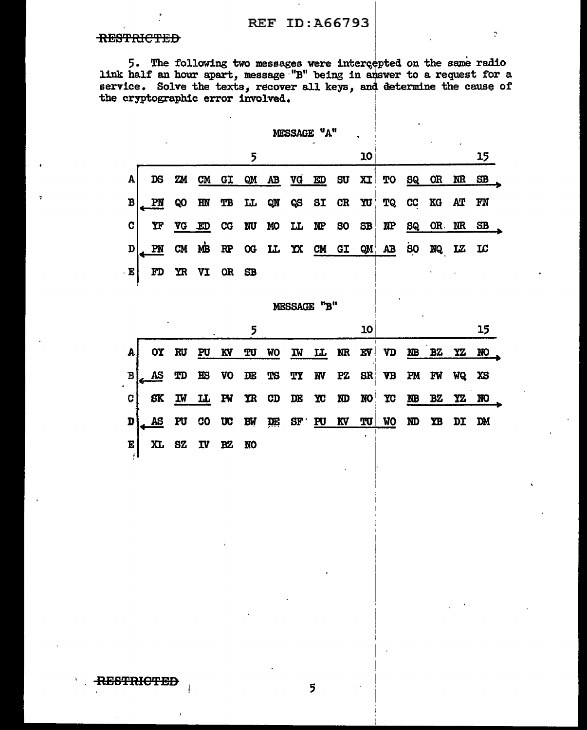$\overline{\cdot}$ 

#### **RESTRICTED**

5. The following two messages were intercepted on the same radio link half an hour apart, message "B" being in apswer to a request for a service. Solve the texts, recover all keys, and determine the cause of the cryptogra

|   |                          |           |           |               |           |           | <b>MESSAGE</b> |           |           |              |           |           |           |             |           |
|---|--------------------------|-----------|-----------|---------------|-----------|-----------|----------------|-----------|-----------|--------------|-----------|-----------|-----------|-------------|-----------|
|   |                          |           |           |               | 5         |           |                |           |           | 10           |           |           |           |             | 15        |
| А | <b>DS</b>                | ZM        | <b>CM</b> | GI            | QM        | AB        | <u>vơ</u>      | ED        | SU        | $\mathbf{X}$ | TО        | <u>SQ</u> | <b>OR</b> | $_{\rm MR}$ | SB        |
| B | PN                       | QO        | HN        | ТB            | IJ        | QN        | QS             | SI        | CR        | YU           | TQ.       | cc        | KG        | AT          | FN        |
| C | YF                       | VG        | .ED       | <b>CG</b>     | NU        | <b>MO</b> | LL             | <b>SB</b> | NP        | SQ           | OR.       | NR        | SB        |             |           |
| D | PN                       | <b>CM</b> | ΜĠ        | $\mathbf{RP}$ | <b>OG</b> | II.       | $\mathbf{x}$   | QM        | AB        | 80           | NQ        | LZ        | IJ        |             |           |
| E | FD                       | YR        | VI        | OR            | SB        |           |                |           |           |              |           |           |           |             |           |
|   |                          |           |           |               |           |           |                |           |           |              |           |           |           |             |           |
|   |                          |           |           |               |           |           | MESSAGE        | "B"       |           |              |           |           |           |             |           |
|   |                          |           |           |               | 5         |           |                |           |           | 10           |           |           |           |             | 15        |
| A | <b>OY</b>                | <b>RU</b> | PU        | KV            | TU        | <b>WO</b> | IW             | Ш.        | <b>NR</b> | EV           | VD        | NB        | BZ        | YZ          | <b>NO</b> |
| B | AS<br>÷                  | TD        | ĦЗ        | VO            | DE        | TS        | TY             | NV        | PZ        | <b>SR</b>    | VB        | PM        | ΓW        | WQ.         | XS        |
| C | SK                       | IW        | IJ        | PW            | YR        | CD        | DE             | YC        | XD        | <b>NO</b>    | YC        | <b>NB</b> | BZ        | YZ          | <b>NO</b> |
| D | $\underline{\mathbf{A}}$ | PU        | CO        | UC            | BW        | ņĘ        | SF ·           | PU        | KV        | TU           | <b>WO</b> | ND        | YB        | DI          | DM        |

**RESTRICTED** 

 $5\overline{)}$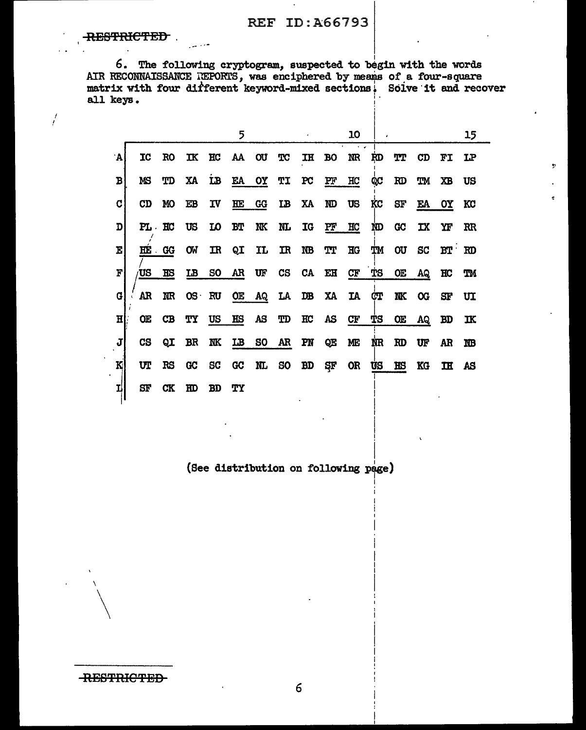## **RESTRICTED**

 $\frac{1}{\ell}$ 

6. The following cryptogram, suspected to begin with the words<br>AIR RECONNAISSANCE REPORTS, was enciphered by means of a four-square<br>matrix with four different keyword-mixed sections. Solve it and recover all keys.

|              |       |             |           |             | 5                    |    |             |            |           | 10      |       |             |              |               | 15          |
|--------------|-------|-------------|-----------|-------------|----------------------|----|-------------|------------|-----------|---------|-------|-------------|--------------|---------------|-------------|
| ٠A.          | IC    | <b>RO</b>   | IK        |             | HC AA OU TC          |    |             | IH         | <b>BO</b> | NR      | RD    | TT          | CD.          | FI            | IJ          |
| в            | MS    | TD          |           |             | XA LB EA OY TI PC    |    |             |            |           | $PF$ HC | QC    | RD          | TM           | XВ            | US          |
| C.           | CD    | <b>MO</b>   | EB        | IV          |                      |    | HE GG IB XA |            | ND        | US      | KC    | $S_{\rm F}$ |              | EA OY         | KC          |
| D            | PL HC |             | US        | IO.         | BT                   | NК | M.          | <b>IG</b>  | PF HC     |         | ND D  | <b>GC</b>   | $\mathbf{X}$ | YF            | $_{\rm RR}$ |
| E            |       | HE GG       | <b>OW</b> | $_{\rm IR}$ | QI                   | IL | IR          | NB         | TT        | $_{HG}$ | TМ    |             | OU SC        | <b>BT</b>     | RD          |
| $\mathbf{F}$ | /US   | EB          | LB        |             | SO AR                | UF | CS CA       |            | EH        | CF      | ТS    | OE          | AQ           | $_{\rm HC}$   | TM          |
| G            | AR    | $_{\rm MR}$ |           | OS RU       | OE AQ LA DB XA IA QT |    |             |            |           |         |       | NК          | <b>OG</b>    | $\mathrm{SF}$ | UI          |
| 피            | Œ     | CB          | TY        | US          | HS                   |    | AS TD       | HC         |           | AS CF   | ŤЗ    | Œ           | AQ           | <b>BD</b>     | ж           |
| J            | CS.   | QI          | BR        | NК          | <b>IB</b> SO AR      |    |             | ${\bf PN}$ | QE        | ME      | ŃR    | RD          | UF           | AR            | NΒ          |
| K            | UT    | RS          | <b>GC</b> | SC.         | <b>GC</b>            |    | NL SO       | <b>BD</b>  | ŞF        | OR      | US HS |             | KG           | ᅖ             | AS          |
| IJ           | SF    | CK.         | HD.       | BD.         | TУ                   |    |             |            |           |         |       |             |              |               |             |

(See distribution on following page)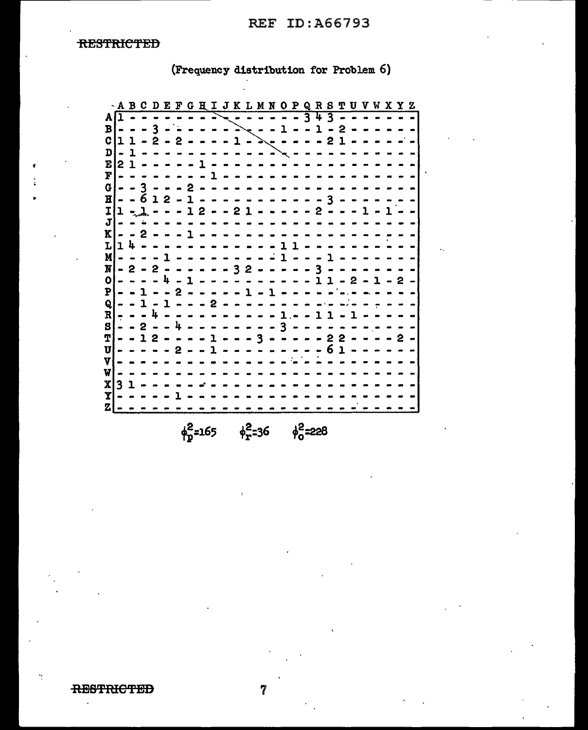### **RESTRICTED**

(Frequency distribution for Problem 6)

|                      |  |                 |  |  | - A B C D E F G H I J K L M N O P Q R S T U V W X Y |  |  |  |                 |  |  |  |  |  |  |
|----------------------|--|-----------------|--|--|-----------------------------------------------------|--|--|--|-----------------|--|--|--|--|--|--|
|                      |  |                 |  |  |                                                     |  |  |  |                 |  |  |  |  |  |  |
| C I                  |  |                 |  |  | $11 - 2 - 2 - - - - 1 - - - - - - 2$                |  |  |  |                 |  |  |  |  |  |  |
| D                    |  |                 |  |  |                                                     |  |  |  |                 |  |  |  |  |  |  |
| E                    |  |                 |  |  | 21 - - - - - 1 - - - - - - - - - -                  |  |  |  |                 |  |  |  |  |  |  |
| F                    |  |                 |  |  | - - - - - - - - 1 - - - - -                         |  |  |  |                 |  |  |  |  |  |  |
| G                    |  | - - 3 - - - 2 - |  |  |                                                     |  |  |  |                 |  |  |  |  |  |  |
|                      |  |                 |  |  | - - 6 1 2 - 1 - - - - - - - - - - - 3 - - - - -     |  |  |  |                 |  |  |  |  |  |  |
|                      |  |                 |  |  | $1 - 1 - - 12 - - 21 - - - - 2 - - - 1 - 1 -$       |  |  |  |                 |  |  |  |  |  |  |
| 田丁丁                  |  |                 |  |  |                                                     |  |  |  |                 |  |  |  |  |  |  |
| K                    |  |                 |  |  | --2---1----                                         |  |  |  |                 |  |  |  |  |  |  |
| L                    |  |                 |  |  |                                                     |  |  |  |                 |  |  |  |  |  |  |
| M                    |  |                 |  |  | - - - - 1 - - - - - - - - - 1 - - - 1 - - - - - -   |  |  |  |                 |  |  |  |  |  |  |
| N١                   |  |                 |  |  |                                                     |  |  |  |                 |  |  |  |  |  |  |
| 0                    |  |                 |  |  | ----4-1-----------11-2-1-2-                         |  |  |  |                 |  |  |  |  |  |  |
| Pl                   |  |                 |  |  |                                                     |  |  |  |                 |  |  |  |  |  |  |
|                      |  |                 |  |  | $Q$  --1-1---2--------                              |  |  |  |                 |  |  |  |  |  |  |
| $\tilde{\mathbf{R}}$ |  |                 |  |  |                                                     |  |  |  |                 |  |  |  |  |  |  |
| Sļ                   |  |                 |  |  |                                                     |  |  |  |                 |  |  |  |  |  |  |
| TI                   |  |                 |  |  | - - 1 2 - - - - 1 - - - 3 - - - - - 2 2 - - - - 2 - |  |  |  |                 |  |  |  |  |  |  |
| IJ                   |  |                 |  |  | - - - - - 2 - - 1 - - - - - - - - - 6 1 - - - -     |  |  |  |                 |  |  |  |  |  |  |
| V                    |  |                 |  |  |                                                     |  |  |  |                 |  |  |  |  |  |  |
| V                    |  |                 |  |  |                                                     |  |  |  |                 |  |  |  |  |  |  |
|                      |  |                 |  |  |                                                     |  |  |  |                 |  |  |  |  |  |  |
| X                    |  | $31 - - - -$    |  |  |                                                     |  |  |  |                 |  |  |  |  |  |  |
| Y                    |  |                 |  |  |                                                     |  |  |  |                 |  |  |  |  |  |  |
|                      |  |                 |  |  |                                                     |  |  |  |                 |  |  |  |  |  |  |
|                      |  |                 |  |  | $\phi_{\rm p}^2$ =165 $\phi_{\rm r}^2$ =36          |  |  |  | $\phi_2^2$ =228 |  |  |  |  |  |  |

 $\boldsymbol{7}$ 

**RESTRICTED** 

 $\overline{a}$ 

 $\tilde{\mathcal{L}}$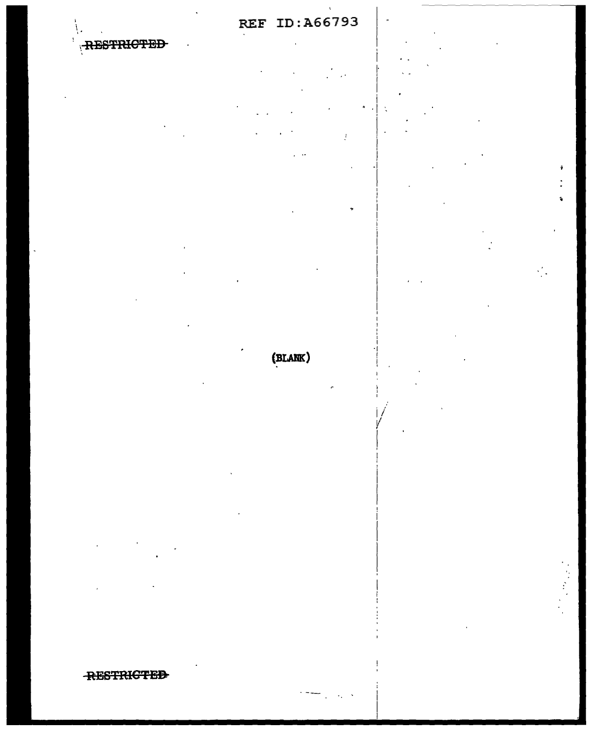## RESTRICTED

## **RESTRICTED**

## $(BLANK)$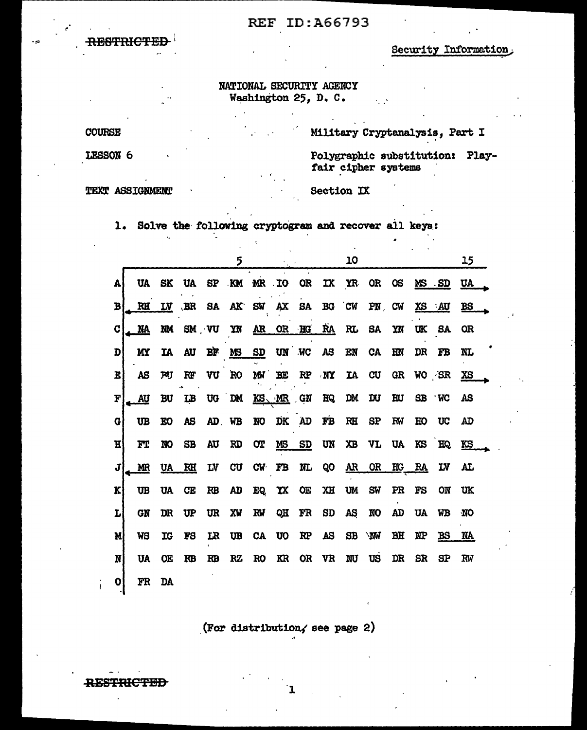**RESTRICTED** 

#### Security Information,

#### NATIONAL SECURITY AGENCY Washington 25, D. C.

COURSE

#### Military Cryptanalysis, Part I

 $\sim$   $\sim$ 

LESSON 6

Polygraphic substitution: Playfair cipher systems

TEXT ASSIGNMENT

Section IX

1. Solve the following cryptogram and recover all keys: ۰.

|              |               |           |              |           | 5               |           |                |           |           | 10    |             |    |           |           | 15         |
|--------------|---------------|-----------|--------------|-----------|-----------------|-----------|----------------|-----------|-----------|-------|-------------|----|-----------|-----------|------------|
| A            | UA            | <b>SK</b> | UA           | <b>SP</b> |                 | KM MR IO  |                | <b>OR</b> |           |       | IX YR OR OS |    |           | MS SD     | <u>UA</u>  |
| B            | RH            | <b>LV</b> | R            | SA        | AK <sup>.</sup> | SW        | ĄХ             | <b>SA</b> |           | BG CW | PN CW       |    |           | XS AU     | <u>BS </u> |
| C            | <u>_NA</u>    | <b>NM</b> |              | SM VU     | <b>XX</b>       |           | AR OR HG       |           | RA RL     |       | - SA        | YN | UK        | <b>SA</b> | <b>OR</b>  |
| D            | MY            | IA        | AU           | BF        | MS              | <b>SD</b> |                | UN WC     | AS        | EN    | CA          | HN | DR        | FB        | NT.        |
| E            | AS            | RI)       | RF           |           | VU RO           | <b>MM</b> | BE             | RP        | <b>NY</b> | IA    | CU          | GR |           | WO SR     | XS         |
| F            | $A\mathbf{U}$ | BU        | IJВ          |           | UG DM           |           | $KS$ $MR$ $GN$ |           | <b>HQ</b> | DM    | <b>DU</b>   | HU | SB        | WC        | AS         |
| G            | UB            | EO        | AS           |           | AD. WB          | NO        |                | DK AD     | FB        | RH    | <b>SP</b>   | RW | HO        | UC        | AD         |
| $\mathbf{H}$ | FT            | NO        | <b>SB</b>    | AU        | RD              | <b>OT</b> | MS             | SD        | UN        |       | XB VL       | UA |           | KS HQ     | KS         |
| J            | MR            | <u>UA</u> | $\mathbf{R}$ | IJ        | CU              |           | $CW$ $FB$      | NL.       | QO        |       | AR OR HG RA |    |           | IJ        | AL.        |
| $\mathbf{K}$ | UB            | UA        | CE           | <b>RB</b> | AD              | EQ.       | YX             | OЕ        | XH        | UM    | SW          | PR | FS        | <b>ON</b> | UK         |
| L            | <b>GN</b>     | DR        | UP           | UR        | XW              | RW        | QH             | FR        | SD        | AS    | <b>NO</b>   | AD | UA        | WB        | ·NO        |
| M            | <b>WS</b>     | IG        | FS           | IR        | UB              | <b>CA</b> | <b>UO</b>      | RP        | AS        | SB    | /WA         | BH | NP        | <u>BS</u> | NA.        |
| N            | <b>UA</b>     | œ         | RB           | RB        | <b>RZ</b>       | <b>RO</b> | KR             | <b>OR</b> | <b>VR</b> | NU    | <b>US</b>   | DR | <b>SR</b> | <b>SP</b> | RV         |
| $\mathbf 0$  | FR            | DA        |              |           |                 |           |                |           |           |       |             |    |           |           |            |

(For distribution, see page 2)

 $\mathbf{1}$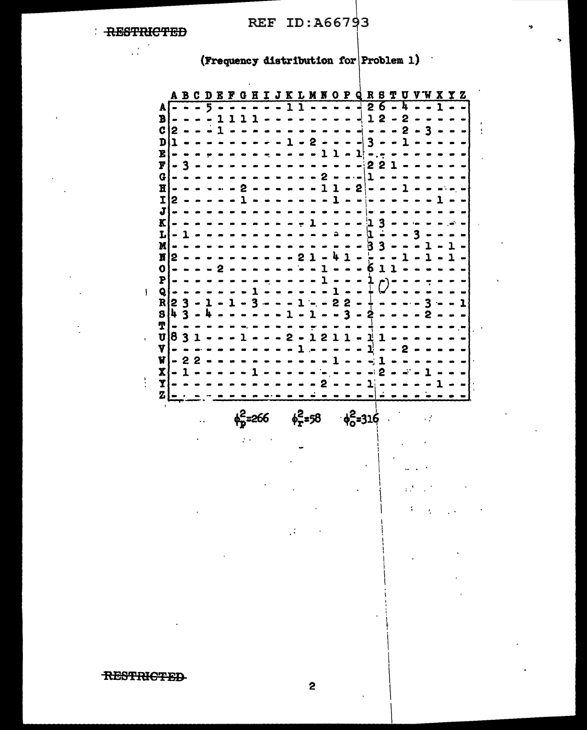#### **RESTRICTED**

 $\frac{1}{2}$ 

## REF ID: A66793

(Frequency distribution for Problem 1)

 $\mathbf{t}$ 

A B C D E F G H I J K L M N O P Q R S T U V W X Y Z  $\frac{26}{26}$  $A \sqsubseteq$ 7 τ T τ  $\overline{\phantom{a}}$  $\overline{\cdot}$ <u>្ត</u> ᢏ т.,  $\overline{\phantom{a}}$ ÷. U T ኈ  $\mathsf{I}$ B  $\mathbf{1}$  $\mathbf{1}$  $\bullet$  $\mathbf{L}$  $\mathbf{1}$  $\overline{c}$ l2  $\mathbf{1}$  $\ddot{ }$  $\ddot{\phantom{a}}$  $\bullet$  $\blacksquare$  $\overrightarrow{a}$  $\ddot{\phantom{a}}$  $\overline{2}$  $\overline{\mathbf{3}}$  $\bullet$  $\ddot{\phantom{a}}$  $\overline{D}$  $\overline{\mathbf{3}}$  $\mathbf{I}$  $\ddot{\phantom{a}}$  $\mathbf{1}$  $\bullet$  $\overline{a}$  $\bullet$  $\ddot{\phantom{1}}$  $\ddot{\phantom{a}}$  $\mathbf{I}$  $\ddot{\phantom{0}}$ ᅴ E<br>F  $\ddot{\phantom{1}}$  $\mathbf{L}$  $\mathbf{L}$  $\mathbf{1}^{\dagger}$  $\blacksquare$  $\blacksquare$  $\ddot{\phantom{a}}$  $\bullet$  $\overline{2}$  $\ddot{\phantom{0}}$  $\overline{\mathbf{3}}$  $\overline{2}$  $\mathbf{I}$  $\bar{G}$  $\mathbf{1}$ O  $\overline{R}$  $\ddot{\phantom{0}}$  $\overline{2}$  $\bullet$  $\mathbf{1}$  $\mathbf{I}$  $\overline{2}$  $\mathbf{1}$  $\overline{1}$ <br> $\overline{J}$  $\overline{2}$  $\mathbf{I}$  $\ddot{\phantom{0}}$  $\overline{a}$  $\ddot{\phantom{a}}$  $\ddot{\phantom{0}}$  $\ddot{\phantom{0}}$  $\ddot{\phantom{0}}$  $\ddot{\phantom{a}}$  $\mathbf{r}$  $\mathbf{I}$  $\ddot{ }$  $\overline{a}$  $\overline{a}$  $\overline{\mathbf{r}}$  $\overline{\mathbf{3}}$  $\mathbf{L}$ 'n.  $\bullet$  $\bullet$  $\overline{L}$  $\bf{I}$ 3  $\mathbf{1}$ ā.  $\overline{M}$ 3  $\overline{\mathbf{3}}$ 1 -<br>6 N 2  $\mathbf{1}$ h.  $\overline{\mathbf{1}}$  $\ddot{\phantom{1}}$  $\bullet$  $\mathbf{2}$  $\frac{1}{1}$  $\mathbf{1}$  $\mathbf{I}$  $\mathbf{1}$  $\bullet$  $\bullet$  $\ddot{\phantom{0}}$  $\overline{\mathbf{o}}$  $\overline{\mathbf{1}}$  $\overline{a}$  $\overline{2}$  $\bullet$ P<br>Q<br>R<br>R  $\bullet$  $\mathbf{I}$  $\overline{a}$  $\mathbf{L}$  $\frac{8}{8}$  |2<br>S|4  $\frac{3}{3}$  $\ddot{\phantom{a}}$  $\overline{2}$  $\overline{\mathbf{3}}$  $\mathbf{1}$  $\bullet$  $\mathbf{I}$ १  $\overline{2}$  $\bullet$  $\mathbf{1}$ ٠. <u>لم</u> Ŀ  $\overline{\mathbf{3}}$  $\ddot{\phantom{1}}$  $\bar{2}$  $\mathbf{I}$  $\overline{a}$  $\bullet$ T  $\ddot{\phantom{0}}$  $\vec{r}$  $\overline{\mathbf{1}}$ l8  $\overline{\mathbf{3}}$  $\overline{\mathbf{u}}$  $\mathbf{I}$  $211$  $\ddot{ }$  $\mathbf{L}$  $\ddot{\phantom{0}}$  $\ddot{\phantom{a}}$  $\frac{1}{2}$  $\mathbf{z}$  $\mathbf{1}$  $\ddot{\phantom{a}}$  $\ddot{\phantom{a}}$  $\overline{a}$  $\ddot{\phantom{a}}$  $\overline{\mathbf{r}}$  $\overline{\mathbf{v}}$  $\overline{a}$  $\overline{2}$ Ħ  $\overline{a}$  $\overline{2}$  $\mathbf{z}$ 1 1  $\overline{\mathbf{x}}$  $\mathbf{1}$  $\overline{2}$  $\overline{1}$  $\blacksquare$  $\frac{1}{2}$ Y  $-2 - - 1$  $\ddot{\phantom{a}}$  $\overline{a}$  $\overline{a}$  $\mathbf{1}$  $\frac{1}{2}$  $\mathbf{z}$ -------- $\ddot{\phantom{0}}$  $\blacksquare$  $\overline{a}$  $\bullet$  $\bullet$  $\bullet$  $\phi_{\rm r}^2$ =58  $\phi_0^2$ =316  $\phi_p^2$ =266  $\epsilon$  $\ddot{\phantom{a}}$  $\mathbb{R}^2$ 

**RESTRICTED** 

 $\overline{c}$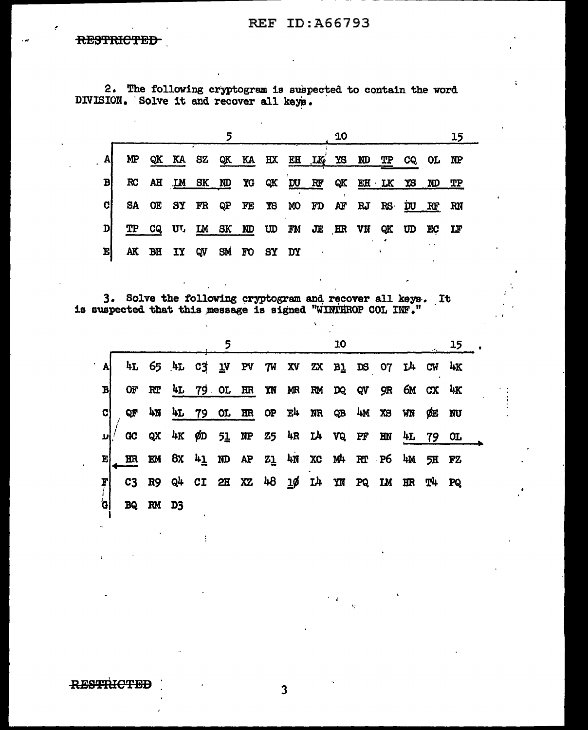#### **RESTRICTED**

2. The following cryptogram is suspected to contain the word DIVISION. Solve it and recover all keys.

|    |    |       |                                           |    |             |           |    |    |                      | 10 |          |    |                         |        | 15 |  |
|----|----|-------|-------------------------------------------|----|-------------|-----------|----|----|----------------------|----|----------|----|-------------------------|--------|----|--|
|    | MP |       | QK KA                                     |    |             |           |    |    | SZ QK KA HX EH IK YS |    | ND TP CQ |    |                         | OL NP  |    |  |
| Bl |    |       | RC AH IM SK ND YG QK DU RF QK EH LK YS    |    |             |           |    |    |                      |    |          |    |                         | ND     | TP |  |
| CI |    |       | SA OE SY FR QP FE YS MO FD AF RJ RS DU RF |    |             |           |    |    |                      |    |          |    |                         |        | RN |  |
| DI | TP | CQ.   | UT,                                       |    | IM SK ND UD |           |    |    | $FM$ $JE$ $HR$       |    | VN       | QK | $\overline{\mathbf{U}}$ | EC     | LF |  |
| E  |    | AK BH | IY                                        | QV | SM          | <b>FO</b> | SY | DY |                      |    |          |    |                         | $\sim$ |    |  |

3. Solve the following cryptogram and recover all keys. It is suspected that this message is signed "WINTHROP COL INF."

|    |                                              |          |                                                     |  |  | 10 |  |  | 15 |  |
|----|----------------------------------------------|----------|-----------------------------------------------------|--|--|----|--|--|----|--|
| A  |                                              |          | 4L 65 4L C3 IV PV 7W XV ZX BI DS 07 L4 CW 4K        |  |  |    |  |  |    |  |
| вl |                                              |          | OF RT 4L 79 OL HR YN MR RM DQ QV 9R 6M CX 4K        |  |  |    |  |  |    |  |
| СI |                                              |          | OF 4N 4L 79 OL HR OP E4 NR OB 4M XS WN ØE NU        |  |  |    |  |  |    |  |
|    |                                              |          | GC QX 4K ØD 51 NP Z5 4R L4 VQ PF HN 4L 79 OL        |  |  |    |  |  |    |  |
| El | HR EM 8X 41 ND AP Z1 4N XC M4 RT P6 4M 5H FZ |          |                                                     |  |  |    |  |  |    |  |
|    |                                              |          | C3 R9 $Q4$ CI 2H XZ $48$ $M/2$ IA YN PQ IM HR T4 PQ |  |  |    |  |  |    |  |
|    |                                              | BQ RM D3 |                                                     |  |  |    |  |  |    |  |

**RESTRICTED** 

 $\overline{\mathbf{3}}$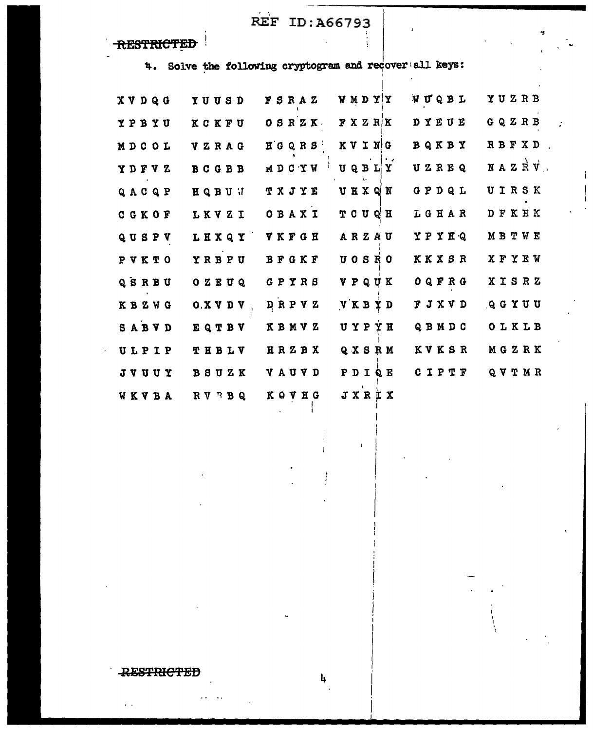RESTRICTED

4. Solve the following cryptogram and recover all keys:

| X V D Q G    |              |  | YUUSD                  |             |       |  |              | <b>FSRAZ</b> |  |  | WMDYY                                                              |              |              | WUQBL            | YUZRB        |  |           |       |
|--------------|--------------|--|------------------------|-------------|-------|--|--------------|--------------|--|--|--------------------------------------------------------------------|--------------|--------------|------------------|--------------|--|-----------|-------|
| <b>YPBYU</b> |              |  | KCKFU                  |             |       |  |              | OSRZK        |  |  | $\mathbf{F} \times \mathbf{Z} \times \mathbf{R} \times \mathbf{K}$ | <b>DYEUE</b> |              |                  |              |  | G Q Z R B |       |
| MDCOL        |              |  | VZRAG                  |             |       |  |              | H G Q R S    |  |  | KVING                                                              |              |              | BQKBY            | <b>RBFXD</b> |  |           |       |
| YDFVZ        | <b>BCGBB</b> |  |                        |             | MDCTW |  |              |              |  |  | UQBLY                                                              |              |              | UZREQ            |              |  |           | NAZRV |
| QACQP        |              |  | HQBUH                  |             |       |  | TXJYE        |              |  |  | UHXQN                                                              |              | GPDQL        |                  |              |  | UIRSK     |       |
| CGKOF        |              |  | LKVZI                  |             |       |  |              | <b>OBAXI</b> |  |  | <b>TCUQH</b>                                                       |              | LGHAR        |                  |              |  | DFKHK     |       |
| <b>QUSPV</b> |              |  |                        | LHXQY       |       |  |              | <b>VKFGH</b> |  |  | ARZAU                                                              |              | <b>YPYHQ</b> |                  | MBTWE        |  |           |       |
| PVKTO        |              |  | YRBPU                  |             |       |  | BFGKF        |              |  |  | UOSRO                                                              |              | KKXSR        |                  |              |  | XFYEW     |       |
| QSRBU        |              |  | <b>OZEUQ</b>           |             |       |  | GPYRS        |              |  |  | <b>VPQUK</b>                                                       |              |              | $OQ$ $F$ $R$ $G$ |              |  | XISRZ     |       |
| <b>KBZWG</b> |              |  |                        | $0.X$ V D V |       |  |              | DRPVZ        |  |  | VKBYD                                                              |              |              | <b>FJXVD</b>     | $Q G Y U U$  |  |           |       |
| <b>SABVD</b> |              |  | EQTBV                  |             |       |  | <b>KBMVZ</b> |              |  |  | UYPYH                                                              |              | Q B M D C    |                  |              |  | OLKLB     |       |
| ULPIP        |              |  | THBLV                  |             |       |  |              | HRZBX        |  |  | Q X S R M                                                          |              |              | <b>KVKSR</b>     | MGZRK        |  |           |       |
| <b>JVUUY</b> |              |  |                        | BSUZK       |       |  |              | VAUVD        |  |  | PDIQE                                                              |              |              | CIPTF            | QVTMR        |  |           |       |
| <b>WKVBA</b> |              |  | $R V$ <sup>7</sup> B Q |             |       |  |              | KOVHG        |  |  | JXRIX                                                              |              |              |                  |              |  |           |       |

4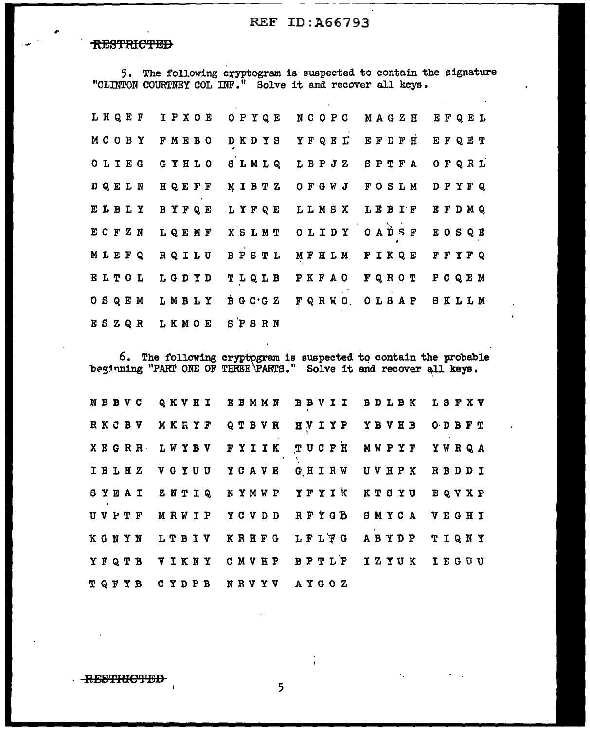#### **RESTRICTED**

5. The following cryptogram is suspected to contain the signature "CLINTON COURTNEY COL INF." Solve it and recover all keys.

|  |  |  |  | LHQEF IPXOE OPYQE NCOPC MAGZH EFQEL |  |  |  |  |  |  |  |  |  |  |
|--|--|--|--|-------------------------------------|--|--|--|--|--|--|--|--|--|--|
|  |  |  |  | MCOBY FMEBO DKDYS YFQEL EFDFH EFQET |  |  |  |  |  |  |  |  |  |  |
|  |  |  |  | OLIEG GYHLO SLMLQ LBPJZ SPTFA OFQRL |  |  |  |  |  |  |  |  |  |  |
|  |  |  |  | DQELN HQEFF MIBTZ OFGWJ FOSLM DPYFQ |  |  |  |  |  |  |  |  |  |  |
|  |  |  |  | ELBLY BYFQE LYFQE LLMSX LEBIF EFDMQ |  |  |  |  |  |  |  |  |  |  |
|  |  |  |  | ECFZN LQEMF XSLMT OLIDY OADSF EOSQE |  |  |  |  |  |  |  |  |  |  |
|  |  |  |  | MLEFQ RQILU BPSTL MFHLM FIKQE FFYFQ |  |  |  |  |  |  |  |  |  |  |
|  |  |  |  | ELTOL LGDYD TLQLB PKFAO FQROT PCQEM |  |  |  |  |  |  |  |  |  |  |
|  |  |  |  | OSQEM LMBLY BGCGZ FQRWO OLSAP SKLLM |  |  |  |  |  |  |  |  |  |  |
|  |  |  |  | ESZQR LKMOE SPSRN                   |  |  |  |  |  |  |  |  |  |  |

6. The following cryptogram is suspected to contain the probable beginning "PART ONE OF THREE PARTS." Solve it and recover all keys.

**NBBVC** QKVHI EBMMN BBVII BDLBK LSFXV RKCBV MKRYF YBVHB Q T B V R HVIYP  $0 D B F T$ TUCPH **XEGRR** LWYBV MWPYF FYIIK YWRQA IBLHZ **VGYUU** YCAVE GHIRW UVHPK RBDDI SYEAI ZNTIQ NYMWP YFYIK KTSYU EQVXP UVPTF MRWIP YCVDD RFYGB SMYCA VEGHI KGNYN LTBIV KRHFG **LFLFG** ABYDP TIQNY BPTLP IZYUK **YFQTB** VIKNY CMVHP IEGUU TQFYB NRVYV AYGOZ C Y D P B

5

**AESTRICTED**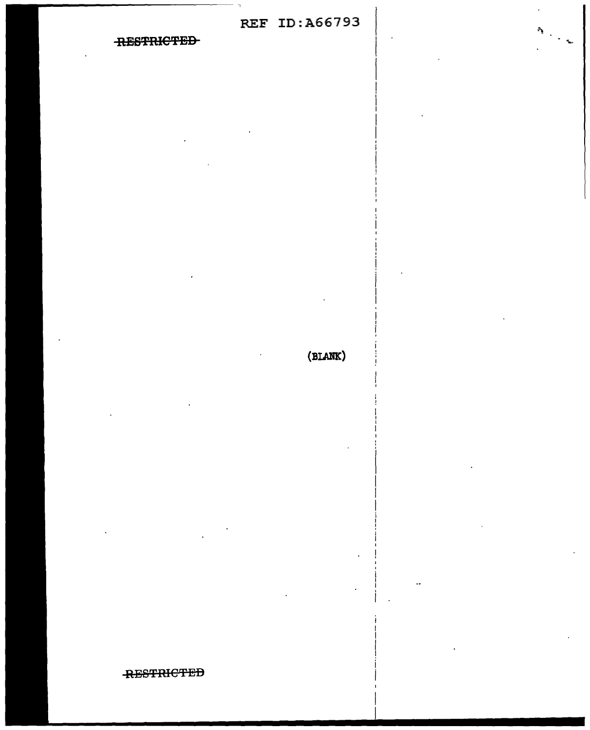**RESTRICTED** 

## $(BLANK)$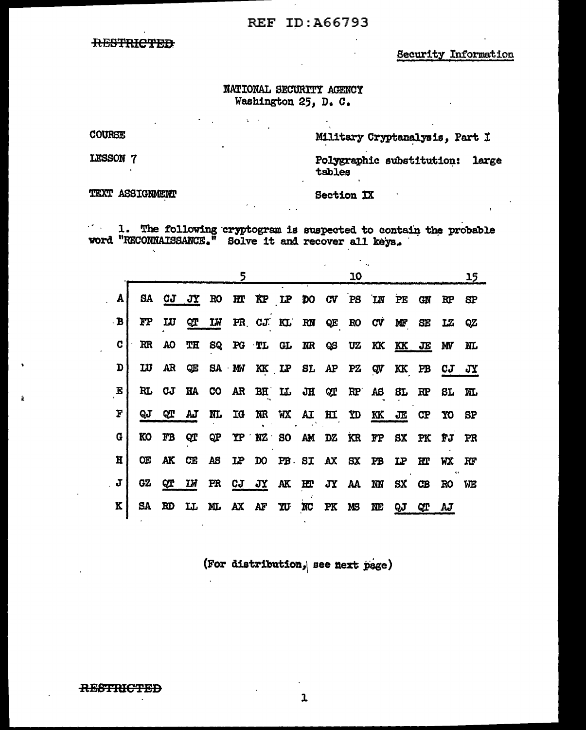**RESTRICTED** 

Security Information

NATIONAL SECURITY AGENCY Washington 25, D. C.

**COURSE** 

Military Cryptanalysis, Part I

LESSON 7

â

Polygraphic substitution: large tables

TEXT ASSIGNMENT

Section IX

1. The following cryptogram is suspected to contain the probable<br>word "RECONNAISSANCE." Solve it and recover all keys.

|              |           |                 |    | 5 |                                               |  | 10 |                        |              |    |           | 15        |
|--------------|-----------|-----------------|----|---|-----------------------------------------------|--|----|------------------------|--------------|----|-----------|-----------|
| A            |           |                 |    |   | SA CJ JY RO HT KP LP DO CV PS LN PE GN        |  |    |                        |              |    | RP        | <b>SP</b> |
| B            | FP        | IJ              |    |   | QT IM PR CJ KL RN QE RO CV MF SE LZ QZ        |  |    |                        |              |    |           |           |
| C            |           |                 |    |   | RR AO THE SQ PG TL GL NR QS UZ KK KK JE MV NL |  |    |                        |              |    |           |           |
| D            | <b>LU</b> |                 |    |   | AR QE SA MW KK LP SL AP PZ QV KK PB CJ JY     |  |    |                        |              |    |           |           |
| $\mathbf{E}$ |           |                 |    |   | RL CJ HA CO AR BH LL JH QT RP AS SL RP SL NL  |  |    |                        |              |    |           |           |
| $\mathbf{F}$ |           |                 |    |   | QJ QT AJ NL IG NR WX AI HI YD KK JE CP        |  |    |                        |              |    | YO SP     |           |
| G            | KO        | FB.             | QT |   | QP YP NZ SO AM DZ KR FP                       |  |    |                        | SX           | PK | FJ PR     |           |
| $\mathbf{H}$ | Œ         | AK CE           |    |   | AS LP DO PB SI AX SX                          |  |    | $\overline{\text{PB}}$ | $\mathbf{L}$ | ET | WX RF     |           |
| J            |           | <b>GZ QT IM</b> |    |   | PR CJ JY AK HT JY AA NN SX CB                 |  |    |                        |              |    | <b>RO</b> | WE        |
| K            |           |                 |    |   | SA RD LL ML AX AF YU NC PK MS NE              |  |    |                        | QJ QT        |    | AJ        |           |

(For distribution, see next page)

 $\mathbf{1}$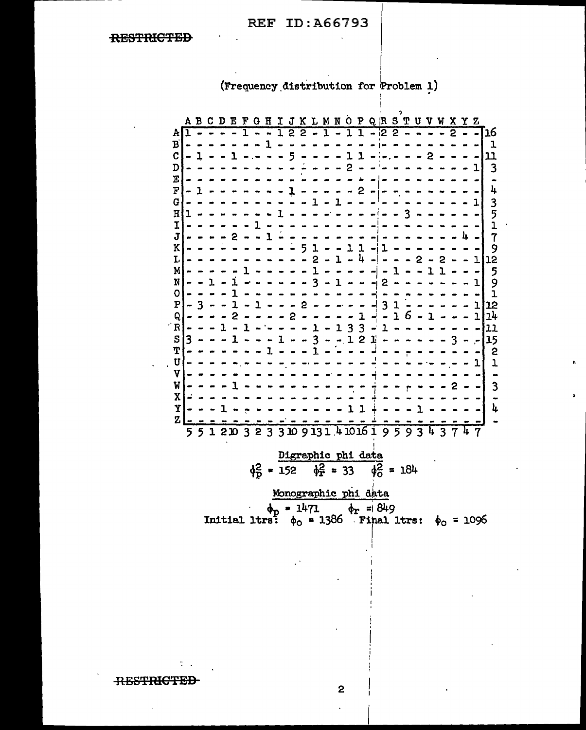$\bar{1}$ 

### **RESTRICTED**

# (Frequency distribution for Problem 1)

|                       | А | B | C | D | Е        | F | G.                    | Н | I |   | JKLMN                                     |                                |              |                      |                           |   |                  |    |   |   | $O$ P Q R S T U V W X |   | Y  | z              |                |
|-----------------------|---|---|---|---|----------|---|-----------------------|---|---|---|-------------------------------------------|--------------------------------|--------------|----------------------|---------------------------|---|------------------|----|---|---|-----------------------|---|----|----------------|----------------|
| A                     | 1 |   |   |   |          |   |                       |   |   | ヮ | 2                                         |                                |              |                      |                           |   |                  | 2  |   |   |                       | 2 |    |                | 16             |
| B                     |   |   |   |   |          |   |                       |   |   |   |                                           |                                |              |                      |                           |   |                  |    |   |   |                       |   |    |                | 1              |
| C                     |   |   |   |   |          |   |                       |   |   |   |                                           |                                |              |                      |                           |   |                  |    |   |   |                       |   |    |                | 11             |
| D                     |   |   |   |   |          |   |                       |   |   |   |                                           |                                |              |                      |                           |   |                  |    |   |   |                       |   |    |                | 3              |
| E                     |   |   |   |   |          |   |                       |   |   |   |                                           |                                |              |                      |                           |   |                  |    |   |   |                       |   |    |                |                |
| F                     |   |   |   |   |          |   |                       |   |   |   |                                           |                                |              |                      |                           |   |                  |    |   |   |                       |   |    |                | 4              |
| G                     |   |   |   |   |          |   |                       |   |   |   |                                           |                                |              |                      |                           |   |                  |    |   |   |                       |   |    |                | <b>3517</b>    |
| $\overline{H}$        | 1 |   |   |   |          |   |                       |   |   |   |                                           |                                |              |                      |                           |   |                  |    | 3 |   |                       |   |    |                |                |
| I                     |   |   |   |   |          |   |                       |   |   |   |                                           |                                |              |                      |                           |   |                  |    |   |   |                       |   |    |                |                |
| J                     |   |   |   |   |          |   |                       |   |   |   |                                           |                                |              |                      |                           |   |                  |    |   |   |                       |   | h. |                |                |
| K                     |   |   |   |   |          |   |                       |   |   |   | 5                                         | 1                              |              |                      | $\mathbf{I}$<br>4         |   |                  |    |   |   |                       |   |    |                | 9<br>12        |
| L                     |   |   |   |   |          |   |                       |   |   |   |                                           | $\overline{c}$<br>$\mathbf{1}$ | 1            |                      |                           |   |                  |    |   |   | 2                     |   |    | $\mathbf{1}$   |                |
| M                     |   |   |   |   |          |   |                       |   |   |   |                                           |                                |              |                      |                           |   |                  |    |   | ı | ı                     |   |    |                |                |
| N                     |   |   |   |   |          |   |                       |   |   |   |                                           | 3                              | $-1$ $-$     |                      |                           |   |                  |    |   |   |                       |   |    | 1              | 5<br>9<br>1    |
| $\circ$<br>${\bf P}$  |   |   |   |   |          |   |                       |   |   |   |                                           |                                |              |                      |                           |   | 3                | 1  |   |   |                       |   |    | ı              | 12             |
| Q                     |   |   |   |   |          |   |                       |   |   | 2 |                                           |                                |              |                      | $\mathbf{I}$              |   |                  | ٦. | 6 | 1 |                       |   |    | 1              | 14             |
| $\overline{\text{R}}$ |   |   |   |   |          |   |                       |   |   |   |                                           | 1                              | $\mathbf{1}$ | 3                    | $\overline{\mathbf{3}}$   |   | 1                |    |   |   |                       |   |    |                | 11             |
| S                     | 3 |   |   |   |          |   |                       |   |   |   |                                           | 3                              |              | $\mathbf{1}$         | $\mathbf{c}$              | ľ |                  |    |   |   |                       |   |    |                | 15             |
| T                     |   |   |   |   |          |   |                       |   |   |   |                                           |                                |              |                      |                           |   |                  |    |   |   |                       |   |    |                | 2              |
| U                     |   |   |   |   |          |   |                       |   |   |   |                                           |                                |              |                      |                           |   |                  |    |   |   |                       |   |    | ı              | $\overline{1}$ |
| V                     |   |   |   |   |          |   |                       |   |   |   |                                           |                                |              |                      |                           |   |                  |    |   |   |                       |   |    |                | $\blacksquare$ |
| W                     |   |   |   |   |          |   |                       |   |   |   |                                           |                                |              |                      |                           |   |                  |    |   |   |                       |   |    |                | 3              |
| $\mathbf x$           |   |   |   |   |          |   |                       |   |   |   |                                           |                                |              |                      |                           |   |                  |    |   |   |                       |   |    |                |                |
| Y                     |   |   |   |   |          |   |                       |   |   |   |                                           |                                |              | 1                    | $\mathbf{I}$              |   |                  |    |   |   |                       |   |    |                | $\frac{1}{2}$  |
| Z                     |   |   |   |   |          |   |                       |   |   |   |                                           |                                |              |                      |                           |   |                  |    |   |   |                       |   |    |                |                |
|                       |   |   |   |   | 5512D323 |   |                       |   |   |   | 3 10 9 13 1 4 10 16 1                     |                                |              |                      |                           |   |                  |    |   |   | 95934374              |   |    | $\overline{7}$ |                |
|                       |   |   |   |   |          |   |                       |   |   |   |                                           |                                |              |                      |                           |   |                  |    |   |   |                       |   |    |                |                |
|                       |   |   |   |   |          |   |                       |   |   |   | Digraphic phi data                        |                                |              |                      |                           |   |                  |    |   |   |                       |   |    |                |                |
|                       |   |   |   |   |          |   | $\frac{12}{12}$ = 152 |   |   |   |                                           |                                |              | $\frac{12}{15}$ = 33 |                           |   | $\phi_0^2$ = 184 |    |   |   |                       |   |    |                |                |
|                       |   |   |   |   |          |   |                       |   |   |   |                                           |                                |              |                      |                           |   |                  |    |   |   |                       |   |    |                |                |
|                       |   |   |   |   |          |   |                       |   |   |   | Monographic phi data                      |                                |              |                      |                           |   |                  |    |   |   |                       |   |    |                |                |
|                       |   |   |   |   |          |   |                       |   |   |   | $= 1471$                                  |                                |              |                      | $\phi_{\mathbf{r}} = 849$ |   |                  |    |   |   |                       |   |    |                |                |
|                       |   |   |   |   |          |   |                       |   |   |   | Initial ltrs: $\phi_0 = 1386$ Final ltrs: |                                |              |                      |                           |   |                  |    |   |   | $\phi_{0}$ = 1096     |   |    |                |                |
|                       |   |   |   |   |          |   |                       |   |   |   |                                           |                                |              |                      |                           |   |                  |    |   |   |                       |   |    |                |                |
|                       |   |   |   |   |          |   |                       |   |   |   |                                           |                                |              |                      |                           |   |                  |    |   |   |                       |   |    |                |                |
|                       |   |   |   |   |          |   |                       |   |   |   |                                           |                                |              |                      |                           |   |                  |    |   |   |                       |   |    |                |                |

#### **RESTRICTED**

 $\ddot{\phantom{a}}$ 

 $\overline{\mathbf{c}}$ 

 $\mathbb{R}^4$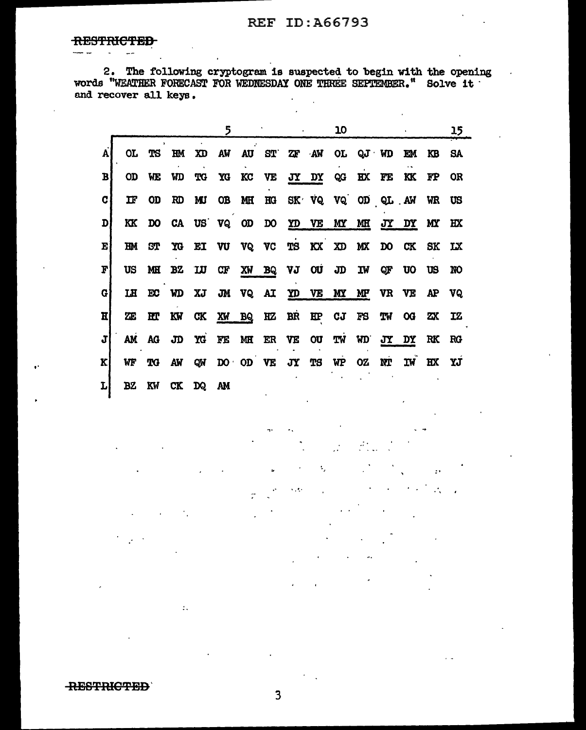$\mathcal{L}_{\mathcal{A}}$ 

#### RESTRICTED

2. The following cryptogram is suspected to begin with the opening words "WEATHER FORECAST FOR WEDNESDAY ONE THREE SEPTEMBER." Solve it and recover all keys.  $\ddot{\phantom{a}}$ 

|              |     |          |             |           | 5  |                                           |    | 10           |             |       |             |       | 15        |
|--------------|-----|----------|-------------|-----------|----|-------------------------------------------|----|--------------|-------------|-------|-------------|-------|-----------|
| A            |     |          | OL TS HM XD |           |    | AW AU ST ZF AW OL QJ WD                   |    |              |             |       | EМ          | KB    | - SA      |
| $\mathbf{B}$ | OD. | WE       | WD          | TG        | YG | KC VE JY DY QG HX                         |    |              |             | FE    | KK          | FP    | OR        |
| C            | IF  | OD       | RD.         |           |    | MEJ OB MEI HG SK VQ VQ OD QL AW WR        |    |              |             |       |             |       | US        |
| D            |     |          |             |           |    | KK DO CA US VQ OD DO YD VE MY MH JY DY MY |    |              |             |       |             |       | ЮK        |
| $\mathbf{E}$ | mМ  | ST.      |             |           |    | YG EI VU VQ VC TS KX XD MX                |    |              |             |       | DO CK SK    |       | LX        |
| $\mathbf{F}$ | US  | МH       |             | BZ IJJ CF |    | XW BQ VJ                                  |    | $O(1 - J D)$ | IW          | QF    | <b>UO</b>   | US    | <b>NO</b> |
| GI           | LH  |          | EC WD XJ    |           |    | JM VQ AI YD VE MY MF                      |    |              |             | VR VE |             | AP VQ |           |
| 피            |     | ZE HU KW |             |           |    | CK XW BQ HZ BR HP CJ FS                   |    |              |             |       | TW OG ZX IZ |       |           |
| J            |     |          | AM AG JD    |           |    | YG FE MH ER VE                            | OU |              | TW WD JY DY |       |             | RK    | RG        |
| K            | WF  | TG       | AW          | QW        |    | DO OD VE JY TS WP OZ                      |    |              |             |       | NT IW HX    |       | YJ        |
| IJ           | BZ  | KW       |             | CK DQ AM  |    |                                           |    |              |             |       |             |       |           |

 $\epsilon$  ,  $\epsilon$  .

 $\ddot{\cdot}$ 

 $\mathbb{Z}_N$ 

 $\mathcal{A}^{(k)}$ 

À,

**RESTRICTED** 

 $\overline{3}$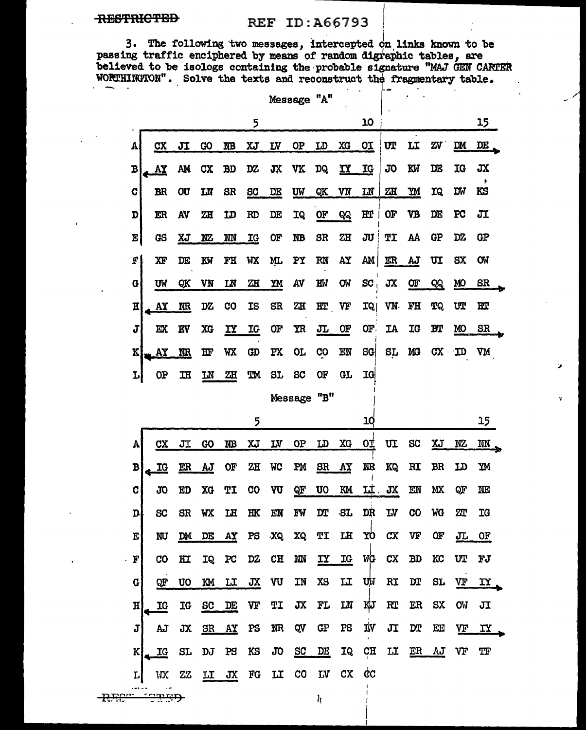### **RESTRICTED**

## **REF ID: A66793**

3. The following two messages, intercepted on links known to be passing traffic enciphered by means of random digraphic tables, are believed to be isologs containing the probable signature "MAJ GEN CARTER WORTHINGTON". Solve the texts and reconstruct the fragmentary table.  $\mathbf{L}$ 

**Common** 

 $\overline{\phantom{a}}$ 

 $\bar{\omega}$ 

|              |               |                        |                         |                   |            |                        | Message   | "A"                     |           |           |                   |                        |                |           |                |
|--------------|---------------|------------------------|-------------------------|-------------------|------------|------------------------|-----------|-------------------------|-----------|-----------|-------------------|------------------------|----------------|-----------|----------------|
|              |               |                        |                         |                   | 5          |                        |           |                         |           | 10        |                   |                        |                |           | 15             |
| A            | <u>CX</u>     | JI                     | GO                      | NВ                | XJ         | LV                     | ОP        | IJ                      | XG        | <u>OI</u> | UT                | LI                     | ZV             | DM        | DE             |
| B            | <u>AY</u>     | AM                     | CX                      | BD                | DZ         | JX                     | VK        | DQ,                     | IY        | <u>IG</u> | JO                | KW                     | DE             | IG        | JX.            |
| $\mathbf C$  | <b>BR</b>     | OU                     | ΙN                      | SR                | <u>sc</u>  | 匹                      | <u>UW</u> | <u>QК</u>               | VN        | LN        | ΖĦ                | <u>үм</u>              | IQ.            | DW        | KS             |
| D            | ER            | AV                     | ZH                      | IJ                | RD         | DE                     | <b>IQ</b> | OF                      | QQ        | 理         | OF                | VB                     | DE             | PC        | JI             |
| E            | GS            | <u>XJ</u>              | NZ.                     | <b>NN</b>         | <u>IG</u>  | OF                     | <b>NB</b> | SR                      | 2H        | JU        | TI                | AA                     | GP             | DZ.       | <b>GP</b>      |
| $\mathbf{F}$ | XF            | DE                     | KW                      | FH                | WX         | ML.                    | PΥ        | RN                      | AY        | AM        | ER                | AJ                     | UI             | <b>SX</b> | <b>OW</b>      |
| G            | UW            | QK                     | VN                      | ΙN                | ΖH         | <b>YM</b>              | AV        | HW                      | <b>OW</b> | SC        | JX                | Œ                      | <u>ର୍ଯ୍</u>    | MO        | <b>SR</b>      |
| H            | <u>AY</u>     | $\overline{\text{MR}}$ | DZ                      | CO                | <b>IS</b>  | SR                     | ZH        | $_{\rm HT}$             | ٧F        | IQ.       | VN.               | FH                     | TQ.            | UT        | HT             |
| J            | EX.           | EV                     | XG                      | <u>TY</u>         | <u>IG</u>  | OF                     | YR        | л,                      | OF        | OF.       | ΙA                | IG                     | BТ             | MO        | SR             |
| K            | ${\bf A}$     | <b>NR</b>              | HF                      | WX                | GD         | PX                     | OL.       | CO                      | EN        | SG        | SL                | MG                     | CX             | m         | VM             |
| L            | <b>OP</b>     | IН                     | LN                      | ZН                | TM         | SL                     | SC        | OF                      | <b>GL</b> | 1G        |                   |                        |                |           |                |
|              |               |                        |                         |                   |            |                        |           |                         |           |           |                   |                        |                |           |                |
|              |               |                        |                         |                   |            |                        | Message   | "B"                     |           |           |                   |                        |                |           |                |
|              |               |                        |                         |                   | 5          |                        |           |                         |           | 10        |                   |                        |                |           | 15             |
| A            | CX            | JI                     | GO                      | NΒ                | XJ         | IJ                     | 0Р        | LD                      | XG        | <u>01</u> | UI                | <b>SC</b>              | XJ             | ŅZ        | ΝN             |
| B            | <u>JG</u>     | ER                     | <u>aj</u>               | OF                | ZП         | WC                     | PM        | SR                      | <u>AY</u> | NŖ        | KQ                | RI                     | BR             | IJ        | ЖY             |
| C            | ਗ਼            | ED                     | XG                      | ΤI                | CO         | VU                     | QF        | <b>UO</b>               | KM        | IJ        | JX                | EN                     | МX             | QF        | NE             |
| $\mathbf{D}$ | <b>SC</b>     | SR                     | WX                      | IH                | Ж          | EN                     | FW        | DT                      | -SL       | DŖ        | IJ                | CO                     | WG             | ZT        | IG             |
| E            | NU            | DM                     | DE                      | AY                | PS         | XQ.                    |           |                         |           |           | XQ TI LH YO CX VF |                        | OF             | ሙ         | OF             |
| $\mathbf{F}$ | $\mathbf{C}$  | ш                      | IQ.                     | ${\bf P} {\bf C}$ | DZ.        | CH                     | ΝN        | $\mathbf{T} \mathbf{Y}$ | IG        | WG        | cx                | <b>BD</b>              | KC             | UT        | FJ             |
| G            | QF            | <b>UO</b>              | KM                      | LI                | JX         | VU                     | IN        | XS                      | LI        | UŅ        | RI                | $\mathbf{D}\mathbf{T}$ | <b>SL</b>      | VF        | $\mathbf{r}_1$ |
| $\mathbf{H}$ | $\frac{1}{2}$ | IG                     | $\underline{\text{SC}}$ | $\frac{DE}{2}$    | VF         | TI                     | JX        | FL                      | LN        | KJ        | $\mathbb{R}^n$    | ER                     | SX             | <b>OW</b> | JI             |
| $\mathbf{J}$ | AJ            | JX                     |                         | SR AY             | PS         | $\overline{\text{MR}}$ | QV        | ${\tt GP}$              | PS        | IV        | JI                | DT                     | EE             | VF        | <u>IY , </u>   |
| K            | <u>. IG</u>   | SL                     |                         | DJ PS             | KS         | JO                     | SC        | DE                      | IQ.       | CH        | LI                | $E_{\rm R}$            | $\mathbf{A}$ J | VF        | TF             |
| L            | WX            | ZZ                     |                         | LI JX             | ${\bf FG}$ | $\mathbf{L}$           | CO        | ${\bf I} {\bf W}$       | cx        | C         |                   |                        |                |           |                |

 $R_{\text{H}}^{\text{max}}$ كشنشت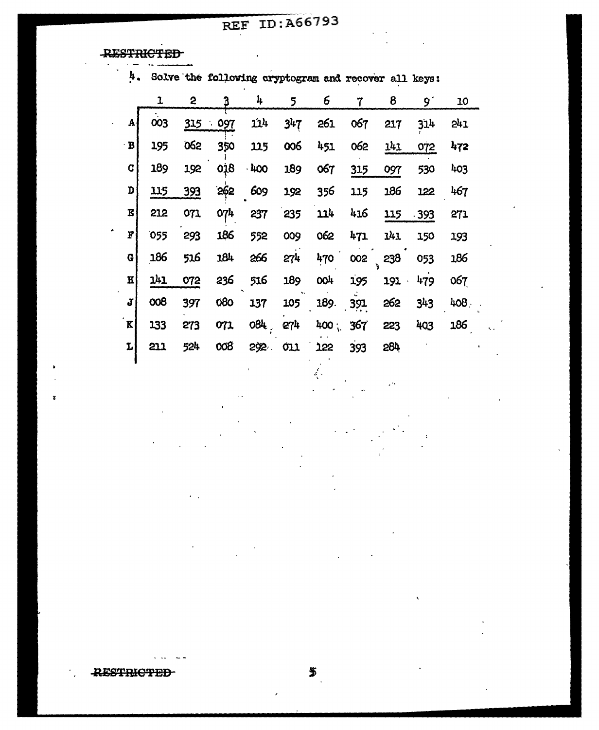REF ID:A66793

**RESTRICTED** 

 $\frac{1}{4}$ . Solve the following cryptogram and recover all keys:

|              | 1   | 2   |            | 4    | 5          | 6       | 7   | 8               | 9.     | 10   |
|--------------|-----|-----|------------|------|------------|---------|-----|-----------------|--------|------|
| ${\bf A}$    | 003 | 315 | 097        | 114  | 347        | 261     | 067 | 217             | 314    | 241  |
| $\mathbf B$  | 195 | 062 | 350        | 115  | 006        | 451     | 062 | 141             | 072    | 472  |
| C            | 189 | 192 | 018        | 400  | 189        | 067     | 315 | 097             | 530    | 403  |
| D            | 115 | 393 | 262        | 609  | 192        | 356     | 115 | 186             | 122    | 467  |
| E            | 212 | 071 | 074        | 237  | 235        | 114     | 416 | 115             | $-393$ | 271  |
| $\mathbf{F}$ | 055 | 293 | 186        | 552  | 009        | 062     | 471 | 141             | 150    | 193  |
| G            | 186 | 516 | 184        | 266  | 274        | 470     | 002 | 238             | 053    | 186  |
| H            | 141 | 072 | 236        | 516  | 189        | 004     | 195 | 191<br>$\Delta$ | 479    | 067  |
| $\mathbf{J}$ | 008 | 397 | 080        | 137  | 105        | 189.    | 391 | 262             | 343    | 408. |
| $\mathbf{K}$ | 133 | 273 | 071        | 084. | 274        | $400$ ; | 367 | 223             | 403    | 186  |
| L            | 211 | 524 | $\infty$ 8 | 292. | <b>ÖL1</b> | 122     | 393 | 284             |        |      |
|              |     |     |            |      |            |         |     |                 |        |      |

 $\frac{1}{2}$ 

 $\ddot{\bm{z}}$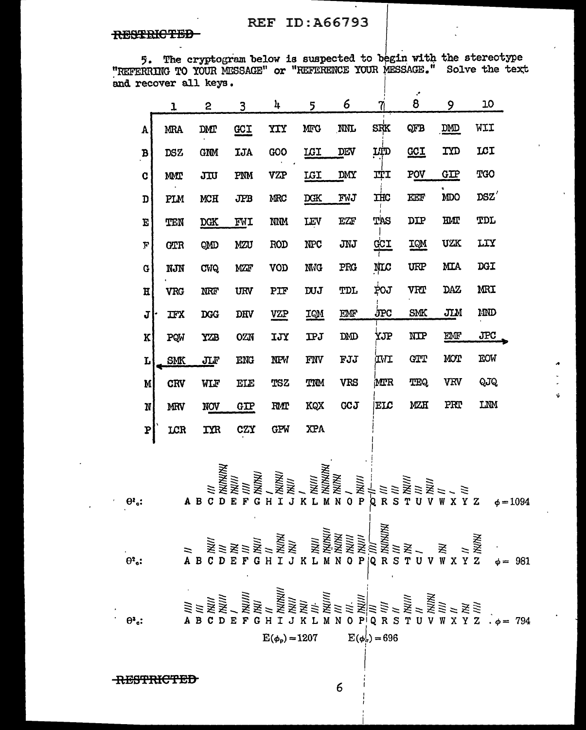### RESTRICTED-

5. The cryptogram below is suspected to begin with the stereotype "REFERRING TO YOUR MESSAGE" or "REFERENCE YOUR MESSAGE." Solve the text and recover all keys.

|                                      | 1          | 2          |                           | 3                                 | 4               | 5          |                                     | 6          |  | $\overline{\mathfrak{a}}$ | $\cdot$<br>8 |            | 9          |  | 10         |               |
|--------------------------------------|------------|------------|---------------------------|-----------------------------------|-----------------|------------|-------------------------------------|------------|--|---------------------------|--------------|------------|------------|--|------------|---------------|
| $\mathbf{A}$                         | MRA        | DMP        |                           | <b>GCI</b>                        | <b>YTY</b>      | MTG        |                                     | <b>NNL</b> |  | <b>SRK</b>                | QFB          |            | DMD        |  | WII        |               |
| $\mathbf{B}$                         | <b>DSZ</b> | <b>GIM</b> |                           | <b>IJA</b>                        | GOO             | <b>IGI</b> |                                     | DEV        |  | Tum                       | <b>GCI</b>   |            | IYD        |  | ICI        |               |
| C                                    | <b>MMT</b> | JIU        |                           | PNM                               | <b>VZP</b>      | <b>TGI</b> |                                     | DMY        |  | ЩI                        | POV          |            | GIP        |  | <b>TGO</b> |               |
| D                                    | PLM        | MCH        |                           | JPB                               | MRC             | DGK        |                                     | FWJ        |  | <b>THC</b>                | EEF          |            | MDO        |  | DSZ        |               |
| E                                    | TEN        | <b>DGK</b> |                           | FWI                               | <b>NNM</b>      | LEV        |                                     | EZF        |  | TAS                       | DIP          |            | HMI        |  | TDL        |               |
| $\mathbf F$                          | <b>CTR</b> | QMD        |                           | MZU                               | <b>ROD</b>      | <b>NPC</b> |                                     | JNJ        |  | $\overline{GCI}$          | <b>TOM</b>   |            | UZK        |  | LIY        |               |
| G                                    | NJN        | <b>CMQ</b> |                           | <b>MZF</b>                        | VOD             | NNG        |                                     | PRG        |  | ŅLC                       | URP          |            | <b>MTA</b> |  | DGI        |               |
| $\mathbf H$                          | <b>VRG</b> | NRF        |                           | URV                               | PIF             | <b>DUJ</b> |                                     | TDL        |  | POJ                       | <b>VRT</b>   |            | DAZ        |  | <b>MRI</b> |               |
| J                                    | IFX        | <b>DGG</b> |                           | <b>DHV</b>                        | <u>VZP</u>      | <u>TQM</u> |                                     | EMP        |  | JPC                       | <b>SMK</b>   |            | ЛM         |  | MND        |               |
| K                                    | PQW        | YZB        |                           | <b>OZN</b>                        | IJY             | IPJ        |                                     | DMD        |  | YJP                       | NIP          |            | EMP        |  | <b>JPC</b> |               |
| L                                    | <b>SMK</b> | ЛF         |                           | <b>ENG</b>                        | NPV             | <b>FNV</b> |                                     | FJJ        |  | ΠIT                       | <b>GTT</b>   |            | MOT        |  | <b>EOW</b> |               |
| M                                    | <b>CRV</b> | <b>MTE</b> |                           | ELE                               | TSZ             | TNM        |                                     | VRS        |  | MTR                       |              | TEQ        | <b>VRV</b> |  | QJQ        |               |
| N                                    | MRV        | <b>NOV</b> |                           | GIP                               | <b>RMT</b>      | KQX        |                                     | <b>GCJ</b> |  | EIC                       |              | <b>MZH</b> | PRT        |  | <b>IMM</b> |               |
| P                                    | <b>LCR</b> | <b>TYR</b> |                           | CZY                               | <b>GPW</b>      |            | <b>XPA</b>                          |            |  |                           |              |            |            |  |            |               |
|                                      |            |            |                           |                                   |                 |            |                                     |            |  |                           |              |            |            |  |            |               |
| $\theta$ <sup>2</sup> <sub>c</sub> : |            |            | <b>THUTHITAL</b><br>TAULU | IIII<br>KAINA<br>AMINAI<br>KAINAI |                 |            | <b>THUTH</b><br>THURKITAN<br>THURKI |            |  |                           |              |            |            |  |            | $\phi = 1094$ |
| $\theta^2$ .                         |            |            |                           |                                   |                 |            |                                     |            |  |                           |              |            |            |  |            | $\phi = 981$  |
| $\Theta$ <sup>3</sup> <sub>c</sub> : |            |            |                           |                                   |                 |            |                                     |            |  |                           |              |            |            |  |            |               |
|                                      |            |            |                           |                                   | $E(d_*) = 1207$ |            |                                     |            |  | $E(d_2) = 696$            |              |            |            |  |            |               |

ś.

RESTRICTED

 $\ddot{\phantom{a}}$ 

 $\epsilon$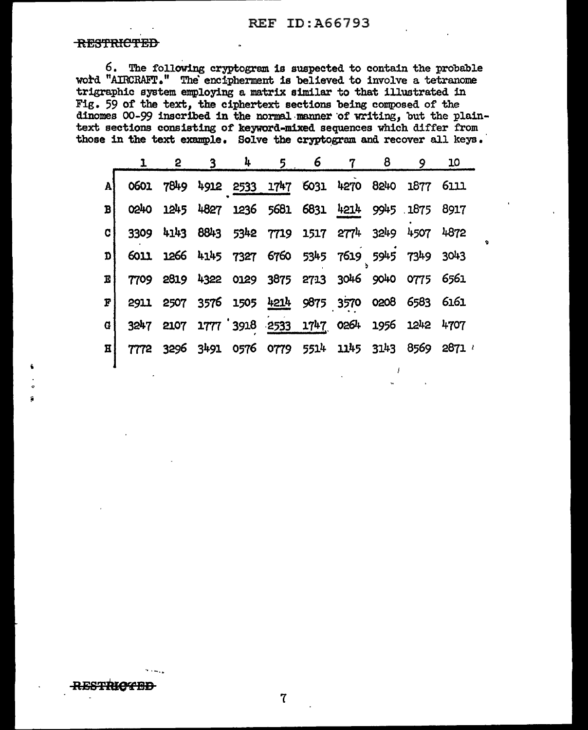#### RESTRICTED

6. The following cryptogram is suspected to contain the probable wotd "AIRCRAFT." The' encipherment is believed to involve a tetranome trigraphic system employing a matrix similar to that illustrated in Fig. 59 of the text, the ciphertext sections being composed of the dinomes 00-99 inscribed in the normal manner of writing, but the plaintext sections consisting of keyword-mixed sequences which differ from those in the text example. Solve the cryptogram and recover all keys.

|           |                                                     | $2^{\circ}$ | $4 -$ |                                                   | $5 \quad 6$ | 8 | 9 <sup>7</sup> | 10                                                  |  |
|-----------|-----------------------------------------------------|-------------|-------|---------------------------------------------------|-------------|---|----------------|-----------------------------------------------------|--|
| ${\bf A}$ |                                                     |             |       | 0601 7849 4912 2533 1747 6031 4270 8240 1877 6111 |             |   |                |                                                     |  |
| Bl        |                                                     |             |       | 0240 1245 4827 1236 5681 6831 4214 9945 1875 8917 |             |   |                |                                                     |  |
|           | 0 3309 4143 8843 5342 7719 1517 2774 3249 4507 4872 |             |       |                                                   |             |   |                |                                                     |  |
| ות "      | 6011 1266 4145 7327 6760 5345 7619 5945 7349 3043   |             |       |                                                   |             |   |                |                                                     |  |
| вI        | 7709 2819 4322 0129 3875 2713 3046 9040 0775 6561   |             |       |                                                   |             |   |                |                                                     |  |
| FI        |                                                     |             |       | 2911 2507 3576 1505 4214 9875 3570 0208 6583 6161 |             |   |                |                                                     |  |
| GI        |                                                     |             |       | 3247 2107 1777 3918 2533 1747 0264 1956 1242 4707 |             |   |                |                                                     |  |
| πI        |                                                     |             |       |                                                   |             |   |                | 7772 3296 3491 0576 0779 5514 1145 3143 8569 2871 / |  |
|           |                                                     |             |       |                                                   |             |   |                |                                                     |  |

RESTRICTED

.. ·-...

i

1